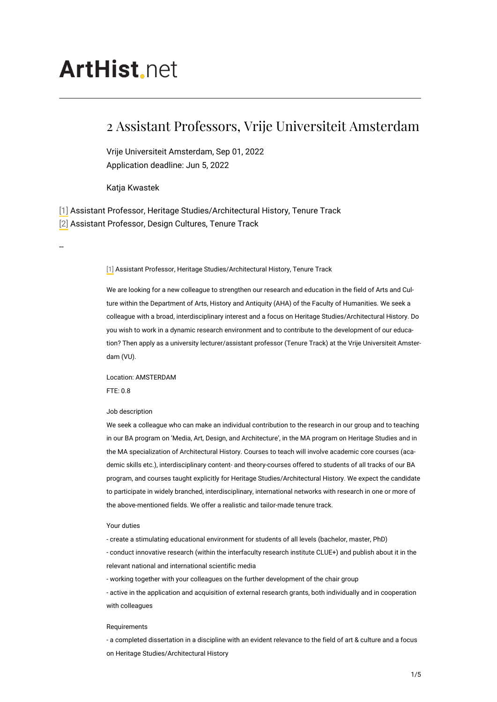# **ArtHist,net**

# 2 Assistant Professors, Vrije Universiteit Amsterdam

Vrije Universiteit Amsterdam, Sep 01, 2022 Application deadline: Jun 5, 2022

Katja Kwastek

<span id="page-0-2"></span><span id="page-0-1"></span>[\[1\]](#page-0-0) Assistant Professor, Heritage Studies/Architectural History, Tenure Track [\[2\]](#page-1-0) Assistant Professor, Design Cultures, Tenure Track

<span id="page-0-0"></span>--

[\[1\]](#page-0-1) Assistant Professor, Heritage Studies/Architectural History, Tenure Track

We are looking for a new colleague to strengthen our research and education in the field of Arts and Culture within the Department of Arts, History and Antiquity (AHA) of the Faculty of Humanities. We seek a colleague with a broad, interdisciplinary interest and a focus on Heritage Studies/Architectural History. Do you wish to work in a dynamic research environment and to contribute to the development of our education? Then apply as a university lecturer/assistant professor (Tenure Track) at the Vrije Universiteit Amsterdam (VU).

Location: AMSTERDAM FTE: 0.8

#### Job description

We seek a colleague who can make an individual contribution to the research in our group and to teaching in our BA program on 'Media, Art, Design, and Architecture', in the MA program on Heritage Studies and in the MA specialization of Architectural History. Courses to teach will involve academic core courses (academic skills etc.), interdisciplinary content- and theory-courses offered to students of all tracks of our BA program, and courses taught explicitly for Heritage Studies/Architectural History. We expect the candidate to participate in widely branched, interdisciplinary, international networks with research in one or more of the above-mentioned fields. We offer a realistic and tailor-made tenure track.

#### Your duties

- create a stimulating educational environment for students of all levels (bachelor, master, PhD)

- conduct innovative research (within the interfaculty research institute CLUE+) and publish about it in the relevant national and international scientific media

- working together with your colleagues on the further development of the chair group

- active in the application and acquisition of external research grants, both individually and in cooperation with colleagues

# Requirements

- a completed dissertation in a discipline with an evident relevance to the field of art & culture and a focus on Heritage Studies/Architectural History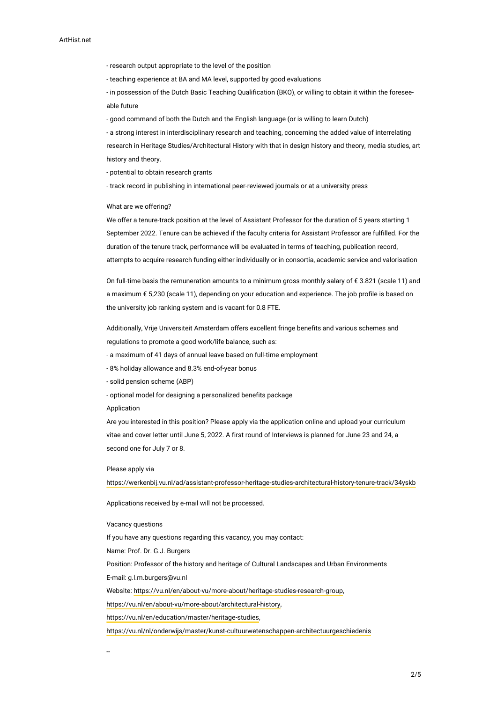- research output appropriate to the level of the position

- teaching experience at BA and MA level, supported by good evaluations

- in possession of the Dutch Basic Teaching Qualification (BKO), or willing to obtain it within the foreseeable future

- good command of both the Dutch and the English language (or is willing to learn Dutch)

- a strong interest in interdisciplinary research and teaching, concerning the added value of interrelating research in Heritage Studies/Architectural History with that in design history and theory, media studies, art history and theory.

- potential to obtain research grants

- track record in publishing in international peer-reviewed journals or at a university press

What are we offering?

We offer a tenure-track position at the level of Assistant Professor for the duration of 5 years starting 1 September 2022. Tenure can be achieved if the faculty criteria for Assistant Professor are fulfilled. For the duration of the tenure track, performance will be evaluated in terms of teaching, publication record, attempts to acquire research funding either individually or in consortia, academic service and valorisation

On full-time basis the remuneration amounts to a minimum gross monthly salary of  $\epsilon$  3.821 (scale 11) and a maximum € 5,230 (scale 11), depending on your education and experience. The job profile is based on the university job ranking system and is vacant for 0.8 FTE.

Additionally, Vrije Universiteit Amsterdam offers excellent fringe benefits and various schemes and regulations to promote a good work/life balance, such as:

- a maximum of 41 days of annual leave based on full-time employment

- 8% holiday allowance and 8.3% end-of-year bonus

- solid pension scheme (ABP)
- optional model for designing a personalized benefits package

Application

Are you interested in this position? Please apply via the application online and upload your curriculum vitae and cover letter until June 5, 2022. A first round of Interviews is planned for June 23 and 24, a second one for July 7 or 8.

Please apply via

<https://werkenbij.vu.nl/ad/assistant-professor-heritage-studies-architectural-history-tenure-track/34yskb>

Applications received by e-mail will not be processed.

Vacancy questions

<span id="page-1-0"></span>--

If you have any questions regarding this vacancy, you may contact:

Name: Prof. Dr. G.J. Burgers

Position: Professor of the history and heritage of Cultural Landscapes and Urban Environments

E-mail: g.l.m.burgers@vu.nl

Website: [https://vu.nl/en/about-vu/more-about/heritage-studies-research-group,](https://vu.nl/en/about-vu/more-about/heritage-studies-research-group)

[https://vu.nl/en/about-vu/more-about/architectural-history,](https://vu.nl/en/about-vu/more-about/architectural-history)

<https://vu.nl/en/education/master/heritage-studies>,

<https://vu.nl/nl/onderwijs/master/kunst-cultuurwetenschappen-architectuurgeschiedenis>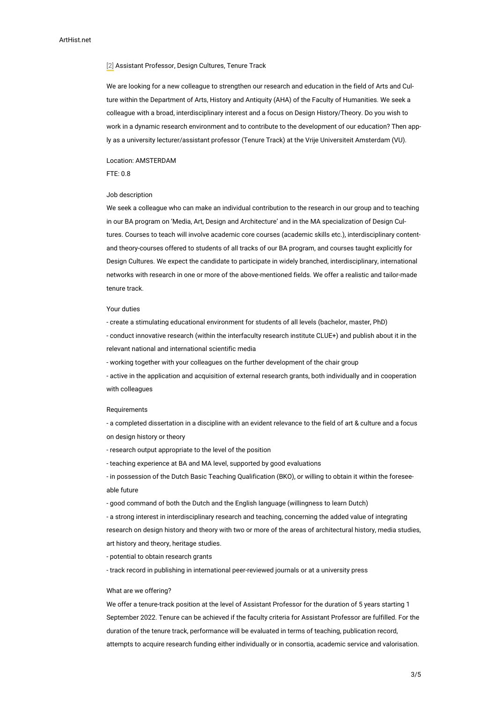# [\[2\]](#page-0-2) Assistant Professor, Design Cultures, Tenure Track

We are looking for a new colleague to strengthen our research and education in the field of Arts and Culture within the Department of Arts, History and Antiquity (AHA) of the Faculty of Humanities. We seek a colleague with a broad, interdisciplinary interest and a focus on Design History/Theory. Do you wish to work in a dynamic research environment and to contribute to the development of our education? Then apply as a university lecturer/assistant professor (Tenure Track) at the Vrije Universiteit Amsterdam (VU).

Location: AMSTERDAM

FTE: 0.8

# Job description

We seek a colleague who can make an individual contribution to the research in our group and to teaching in our BA program on 'Media, Art, Design and Architecture' and in the MA specialization of Design Cultures. Courses to teach will involve academic core courses (academic skills etc.), interdisciplinary contentand theory-courses offered to students of all tracks of our BA program, and courses taught explicitly for Design Cultures. We expect the candidate to participate in widely branched, interdisciplinary, international networks with research in one or more of the above-mentioned fields. We offer a realistic and tailor-made tenure track.

# Your duties

- create a stimulating educational environment for students of all levels (bachelor, master, PhD)

- conduct innovative research (within the interfaculty research institute CLUE+) and publish about it in the relevant national and international scientific media

- working together with your colleagues on the further development of the chair group

- active in the application and acquisition of external research grants, both individually and in cooperation with colleagues

#### Requirements

- a completed dissertation in a discipline with an evident relevance to the field of art & culture and a focus on design history or theory

- research output appropriate to the level of the position

- teaching experience at BA and MA level, supported by good evaluations

- in possession of the Dutch Basic Teaching Qualification (BKO), or willing to obtain it within the foreseeable future

- good command of both the Dutch and the English language (willingness to learn Dutch)

- a strong interest in interdisciplinary research and teaching, concerning the added value of integrating research on design history and theory with two or more of the areas of architectural history, media studies, art history and theory, heritage studies.

- potential to obtain research grants

- track record in publishing in international peer-reviewed journals or at a university press

#### What are we offering?

We offer a tenure-track position at the level of Assistant Professor for the duration of 5 years starting 1 September 2022. Tenure can be achieved if the faculty criteria for Assistant Professor are fulfilled. For the duration of the tenure track, performance will be evaluated in terms of teaching, publication record, attempts to acquire research funding either individually or in consortia, academic service and valorisation.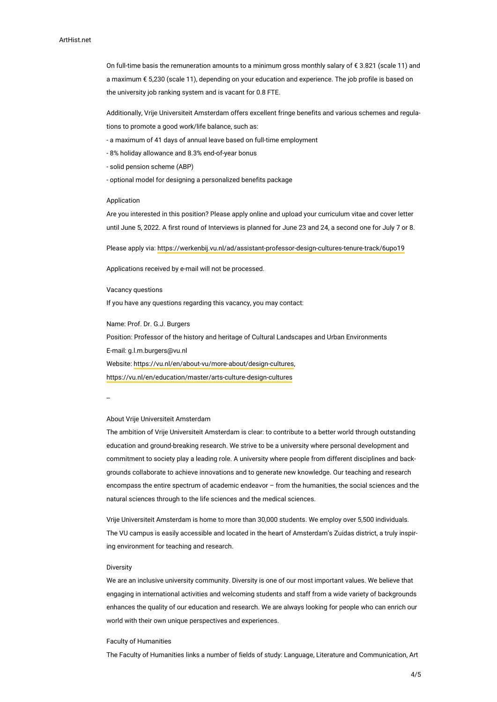# ArtHist.net

On full-time basis the remuneration amounts to a minimum gross monthly salary of  $\epsilon$  3.821 (scale 11) and a maximum € 5,230 (scale 11), depending on your education and experience. The job profile is based on the university job ranking system and is vacant for 0.8 FTE.

Additionally, Vrije Universiteit Amsterdam offers excellent fringe benefits and various schemes and regulations to promote a good work/life balance, such as:

- a maximum of 41 days of annual leave based on full-time employment

- 8% holiday allowance and 8.3% end-of-year bonus

- solid pension scheme (ABP)

- optional model for designing a personalized benefits package

#### Application

Are you interested in this position? Please apply online and upload your curriculum vitae and cover letter until June 5, 2022. A first round of Interviews is planned for June 23 and 24, a second one for July 7 or 8.

Please apply via: <https://werkenbij.vu.nl/ad/assistant-professor-design-cultures-tenure-track/6upo19>

Applications received by e-mail will not be processed.

Vacancy questions

If you have any questions regarding this vacancy, you may contact:

Name: Prof. Dr. G.J. Burgers

Position: Professor of the history and heritage of Cultural Landscapes and Urban Environments E-mail: g.l.m.burgers@vu.nl Website:<https://vu.nl/en/about-vu/more-about/design-cultures>,

<https://vu.nl/en/education/master/arts-culture-design-cultures>

--

#### About Vrije Universiteit Amsterdam

The ambition of Vrije Universiteit Amsterdam is clear: to contribute to a better world through outstanding education and ground-breaking research. We strive to be a university where personal development and commitment to society play a leading role. A university where people from different disciplines and backgrounds collaborate to achieve innovations and to generate new knowledge. Our teaching and research encompass the entire spectrum of academic endeavor – from the humanities, the social sciences and the natural sciences through to the life sciences and the medical sciences.

Vrije Universiteit Amsterdam is home to more than 30,000 students. We employ over 5,500 individuals. The VU campus is easily accessible and located in the heart of Amsterdam's Zuidas district, a truly inspiring environment for teaching and research.

# Diversity

We are an inclusive university community. Diversity is one of our most important values. We believe that engaging in international activities and welcoming students and staff from a wide variety of backgrounds enhances the quality of our education and research. We are always looking for people who can enrich our world with their own unique perspectives and experiences.

# Faculty of Humanities

The Faculty of Humanities links a number of fields of study: Language, Literature and Communication, Art